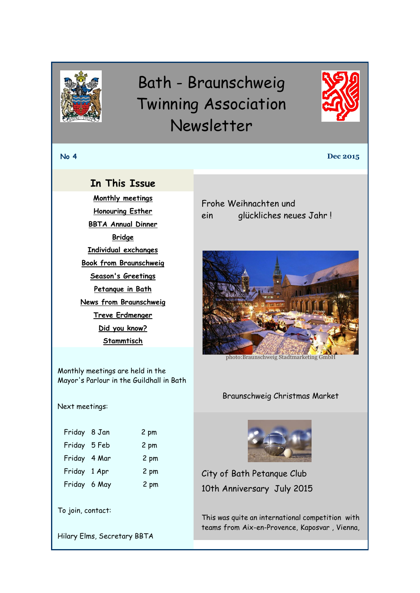<span id="page-0-0"></span>

# Bath - Braunschweig Twinning Association Newsletter



**No 4 Dec 2015**

# **In This Issue**

**[Monthly meetings](#page-0-0) [Honouring Esther](#page-1-0) [BBTA Annual Dinner](#page-1-0) [Bridge](#page-2-0) [Individual exchanges](#page-2-0) Book [from Braunschweig](#page-3-0) [Season's Greetings](#page-0-1) [Petanque in Bath](#page-0-0) [News from Braunschweig](#page-1-0) [Treve Erdmenger](#page-2-1) [Did you know?](#page-2-0) [Stammtisch](#page-3-0)**

Monthly meetings are held in the Mayor's Parlour in the Guildhall in Bath

Next meetings:

| Friday 8 Jan | 2 pm |
|--------------|------|
| Friday 5 Feb | 2 pm |
| Friday 4 Mar | 2 pm |
| Friday 1 Apr | 2 pm |
| Friday 6 May | 2 pm |



Hilary Elms, Secretary BBTA

<span id="page-0-1"></span>Frohe Weihnachten und ein glückliches neues Jahr !



photo:Braunschweig Stadtmarketing GmbH

#### Braunschweig Christmas Market



City of Bath Petanque Club 10th Anniversary July 2015

This was quite an international competition with teams from Aix-en-Provence, Kaposvar , Vienna,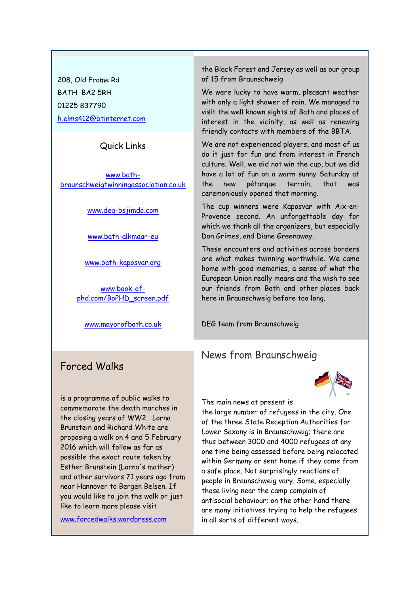<span id="page-1-0"></span>208, Old Frome Rd BATH BA2 5RH 01225 837790 [h.elms412@btinternet.com](mailto:h.elms412@btinternet.com)

#### Quick Links

[www.bath](http://www.bath-braunschweigtwinningassociation.co.uk/)[braunschweigtwinningassociation.co.uk](http://www.bath-braunschweigtwinningassociation.co.uk/)

[www.deg-bsjimdo.com](http://r20.rs6.net/tn.jsp?f=001jmlYmHoVw5y_NgKKaiDGy69USn3Dser-RVcc-JdeCeIVH93K5rShlfTaEBD0rpy6nwyu0hKcj9xhcwHw8KgXUuVaksO3RiUVXrCzWhuuuccZJEwABa21KXHmzc1kK_0XCJfoCa66xbQYVn0IvF74aU8ckj0NQjXwmZNeh_vcIS4=&c=18h7vaffz6Jiq-VF7fklOrJcO6ypO3TB9-BWMuXI79zuwhoCGQ_iJw==&ch=RxRgaZt0XAU4PiGxQV9x4cSC7we2LmENT8ngqbigoip4fh3A7KG62g==)

[www.bath-alkmaar-eu](http://r20.rs6.net/tn.jsp?f=001jmlYmHoVw5y_NgKKaiDGy69USn3Dser-RVcc-JdeCeIVH93K5rShlfTaEBD0rpy6Opk3bXbf4FI-EOHusLT9V4SHEPemZPUkE5r8pspZ6fTb8Q18-RmIh44_iXBlocdSfX3meehgNhE4qAiNBGyBCazknaJk14M8F6kcOYEtlfg=&c=18h7vaffz6Jiq-VF7fklOrJcO6ypO3TB9-BWMuXI79zuwhoCGQ_iJw==&ch=RxRgaZt0XAU4PiGxQV9x4cSC7we2LmENT8ngqbigoip4fh3A7KG62g==)

[www.bath-kaposvar.org](http://r20.rs6.net/tn.jsp?f=001jmlYmHoVw5y_NgKKaiDGy69USn3Dser-RVcc-JdeCeIVH93K5rShlfTaEBD0rpy6sIW7Os3JSVtbLT3oANcRO3Yu8T3kID_bifINbHc9bxkKYyZfI5QchJsCJQL7_mWUzzBl9cff63aZ51mhf5fGIe4FKRCXU18NhSc5xPdLxAGxXQEUE_vSzg==&c=18h7vaffz6Jiq-VF7fklOrJcO6ypO3TB9-BWMuXI79zuwhoCGQ_iJw==&ch=RxRgaZt0XAU4PiGxQV9x4cSC7we2LmENT8ngqbigoip4fh3A7KG62g==)

[www.book-of](http://www.book-of-phd.com/BoPHD_screen.pdf)[phd.com/BoPHD\\_screen.pdf](http://www.book-of-phd.com/BoPHD_screen.pdf)

[www.mayorofbath.co.uk](http://www.mayorofbath.co.uk/)

### Forced Walks

is a programme of public walks to commemorate the death marches in the closing years of WW2. Lorna Brunstein and Richard White are proposing a walk on 4 and 5 February 2016 which will follow as far as possible the exact route taken by Esther Brunstein (Lorna's mother) and other survivors 71 years ago from near Hannover to Bergen Belsen. If you would like to join the walk or just like to learn more please visit

[www.forcedwalks.wordpress.com](http://www.forcedwalks.wordpress.com/)

the Black Forest and Jersey as well as our group of 15 from Braunschweig

We were lucky to have warm, pleasant weather with only a light shower of rain. We managed to visit the well known sights of Bath and places of interest in the vicinity, as well as renewing friendly contacts with members of the BBTA.

We are not experienced players, and most of us do it just for fun and from interest in French culture. Well, we did not win the cup, but we did have a lot of fun on a warm sunny Saturday at the new pétanque terrain, that was ceremoniously opened that morning.

The cup winners were Kaposvar with Aix-en-Provence second. An unforgettable day for which we thank all the organizers, but especially Don Grimes, and Diane Greenaway.

These encounters and activities across borders are what makes twinning worthwhile. We came home with good memories, a sense of what the European Union really means and the wish to see our friends from Bath and other places back here in Braunschweig before too long.

DEG team from Braunschweig

### News from Braunschweig



The main news at present is

the large number of refugees in the city. One of the three State Reception Authorities for Lower Saxony is in Braunschweig; there are thus between 3000 and 4000 refugees at any one time being assessed before being relocated within Germany or sent home if they come from a safe place. Not surprisingly reactions of people in Braunschweig vary. Some, especially those living near the camp complain of antisocial behaviour; on the other hand there are many initiatives trying to help the refugees in all sorts of different ways.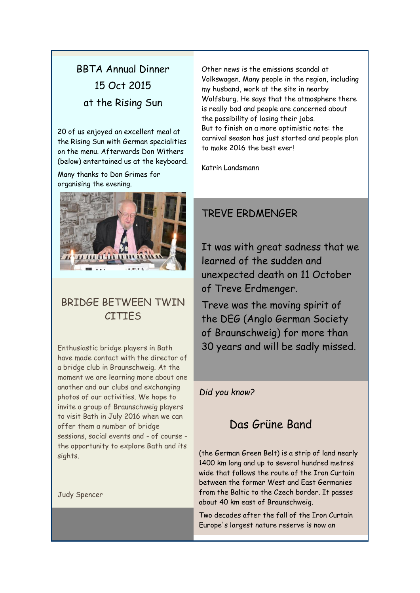# <span id="page-2-0"></span>BBTA Annual Dinner 15 Oct 2015 at the Rising Sun

20 of us enjoyed an excellent meal at the Rising Sun with German specialities on the menu. Afterwards Don Withers (below) entertained us at the keyboard.

Many thanks to Don Grimes for organising the evening.



# BRIDGE BETWEEN TWIN CITIES

Enthusiastic bridge players in Bath have made contact with the director of a bridge club in Braunschweig. At the moment we are learning more about one another and our clubs and exchanging photos of our activities. We hope to invite a group of Braunschweig players to visit Bath in July 2016 when we can offer them a number of bridge sessions, social events and - of course the opportunity to explore Bath and its sights.

Judy Spencer

Other news is the emissions scandal at Volkswagen. Many people in the region, including my husband, work at the site in nearby Wolfsburg. He says that the atmosphere there is really bad and people are concerned about the possibility of losing their jobs. But to finish on a more optimistic note: the carnival season has just started and people plan to make 2016 the best ever!

Katrin Landsmann

# <span id="page-2-1"></span>TREVE ERDMENGER

It was with great sadness that we learned of the sudden and unexpected death on 11 October of Treve Erdmenger.

Treve was the moving spirit of the DEG (Anglo German Society of Braunschweig) for more than 30 years and will be sadly missed.

#### *Did you know?*

# Das Grüne Band

(the German Green Belt) is a strip of land nearly 1400 km long and up to several hundred metres wide that follows the route of the Iron Curtain between the former West and East Germanies from the Baltic to the Czech border. It passes about 40 km east of Braunschweig.

Two decades after the fall of the Iron Curtain Europe's largest nature reserve is now an